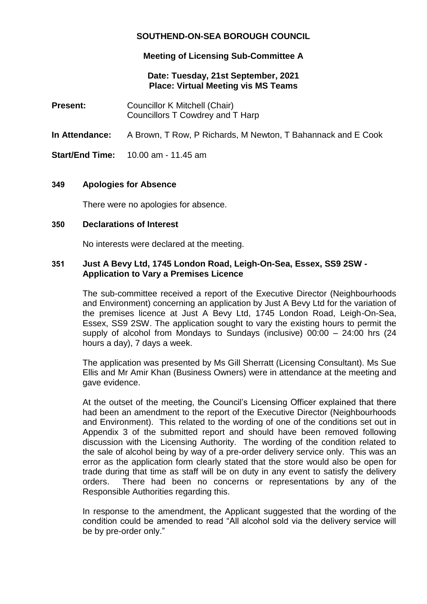# **SOUTHEND-ON-SEA BOROUGH COUNCIL**

# **Meeting of Licensing Sub-Committee A**

### **Date: Tuesday, 21st September, 2021 Place: Virtual Meeting vis MS Teams**

**Present:** Councillor K Mitchell (Chair) Councillors T Cowdrey and T Harp

**In Attendance:** A Brown, T Row, P Richards, M Newton, T Bahannack and E Cook

**Start/End Time:** 10.00 am - 11.45 am

### **349 Apologies for Absence**

There were no apologies for absence.

#### **350 Declarations of Interest**

No interests were declared at the meeting.

#### **351 Just A Bevy Ltd, 1745 London Road, Leigh-On-Sea, Essex, SS9 2SW - Application to Vary a Premises Licence**

The sub-committee received a report of the Executive Director (Neighbourhoods and Environment) concerning an application by Just A Bevy Ltd for the variation of the premises licence at Just A Bevy Ltd, 1745 London Road, Leigh-On-Sea, Essex, SS9 2SW. The application sought to vary the existing hours to permit the supply of alcohol from Mondays to Sundays (inclusive) 00:00 – 24:00 hrs (24 hours a day), 7 days a week.

The application was presented by Ms Gill Sherratt (Licensing Consultant). Ms Sue Ellis and Mr Amir Khan (Business Owners) were in attendance at the meeting and gave evidence.

At the outset of the meeting, the Council's Licensing Officer explained that there had been an amendment to the report of the Executive Director (Neighbourhoods and Environment). This related to the wording of one of the conditions set out in Appendix 3 of the submitted report and should have been removed following discussion with the Licensing Authority. The wording of the condition related to the sale of alcohol being by way of a pre-order delivery service only. This was an error as the application form clearly stated that the store would also be open for trade during that time as staff will be on duty in any event to satisfy the delivery orders. There had been no concerns or representations by any of the Responsible Authorities regarding this.

In response to the amendment, the Applicant suggested that the wording of the condition could be amended to read "All alcohol sold via the delivery service will be by pre-order only."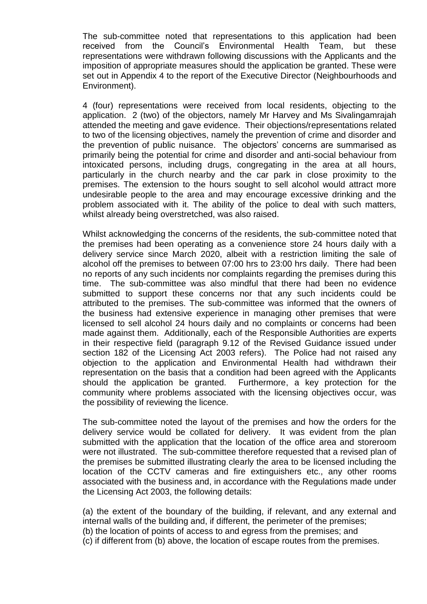The sub-committee noted that representations to this application had been received from the Council's Environmental Health Team, but these representations were withdrawn following discussions with the Applicants and the imposition of appropriate measures should the application be granted. These were set out in Appendix 4 to the report of the Executive Director (Neighbourhoods and Environment).

4 (four) representations were received from local residents, objecting to the application. 2 (two) of the objectors, namely Mr Harvey and Ms Sivalingamrajah attended the meeting and gave evidence. Their objections/representations related to two of the licensing objectives, namely the prevention of crime and disorder and the prevention of public nuisance. The objectors' concerns are summarised as primarily being the potential for crime and disorder and anti-social behaviour from intoxicated persons, including drugs, congregating in the area at all hours, particularly in the church nearby and the car park in close proximity to the premises. The extension to the hours sought to sell alcohol would attract more undesirable people to the area and may encourage excessive drinking and the problem associated with it. The ability of the police to deal with such matters, whilst already being overstretched, was also raised.

Whilst acknowledging the concerns of the residents, the sub-committee noted that the premises had been operating as a convenience store 24 hours daily with a delivery service since March 2020, albeit with a restriction limiting the sale of alcohol off the premises to between 07:00 hrs to 23:00 hrs daily. There had been no reports of any such incidents nor complaints regarding the premises during this time. The sub-committee was also mindful that there had been no evidence submitted to support these concerns nor that any such incidents could be attributed to the premises. The sub-committee was informed that the owners of the business had extensive experience in managing other premises that were licensed to sell alcohol 24 hours daily and no complaints or concerns had been made against them. Additionally, each of the Responsible Authorities are experts in their respective field (paragraph 9.12 of the Revised Guidance issued under section 182 of the Licensing Act 2003 refers). The Police had not raised any objection to the application and Environmental Health had withdrawn their representation on the basis that a condition had been agreed with the Applicants should the application be granted. Furthermore, a key protection for the community where problems associated with the licensing objectives occur, was the possibility of reviewing the licence.

The sub-committee noted the layout of the premises and how the orders for the delivery service would be collated for delivery. It was evident from the plan submitted with the application that the location of the office area and storeroom were not illustrated. The sub-committee therefore requested that a revised plan of the premises be submitted illustrating clearly the area to be licensed including the location of the CCTV cameras and fire extinguishers etc., any other rooms associated with the business and, in accordance with the Regulations made under the Licensing Act 2003, the following details:

(a) the extent of the boundary of the building, if relevant, and any external and internal walls of the building and, if different, the perimeter of the premises; (b) the location of points of access to and egress from the premises; and (c) if different from (b) above, the location of escape routes from the premises.